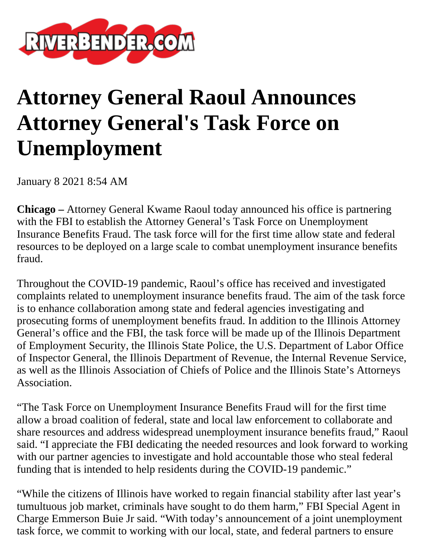

## **Attorney General Raoul Announces Attorney General's Task Force on Unemployment**

January 8 2021 8:54 AM

**Chicago –** Attorney General Kwame Raoul today announced his office is partnering with the FBI to establish the Attorney General's Task Force on Unemployment Insurance Benefits Fraud. The task force will for the first time allow state and federal resources to be deployed on a large scale to combat unemployment insurance benefits fraud.

Throughout the COVID-19 pandemic, Raoul's office has received and investigated complaints related to unemployment insurance benefits fraud. The aim of the task force is to enhance collaboration among state and federal agencies investigating and prosecuting forms of unemployment benefits fraud. In addition to the Illinois Attorney General's office and the FBI, the task force will be made up of the Illinois Department of Employment Security, the Illinois State Police, the U.S. Department of Labor Office of Inspector General, the Illinois Department of Revenue, the Internal Revenue Service, as well as the Illinois Association of Chiefs of Police and the Illinois State's Attorneys Association.

"The Task Force on Unemployment Insurance Benefits Fraud will for the first time allow a broad coalition of federal, state and local law enforcement to collaborate and share resources and address widespread unemployment insurance benefits fraud," Raoul said. "I appreciate the FBI dedicating the needed resources and look forward to working with our partner agencies to investigate and hold accountable those who steal federal funding that is intended to help residents during the COVID-19 pandemic."

"While the citizens of Illinois have worked to regain financial stability after last year's tumultuous job market, criminals have sought to do them harm," FBI Special Agent in Charge Emmerson Buie Jr said. "With today's announcement of a joint unemployment task force, we commit to working with our local, state, and federal partners to ensure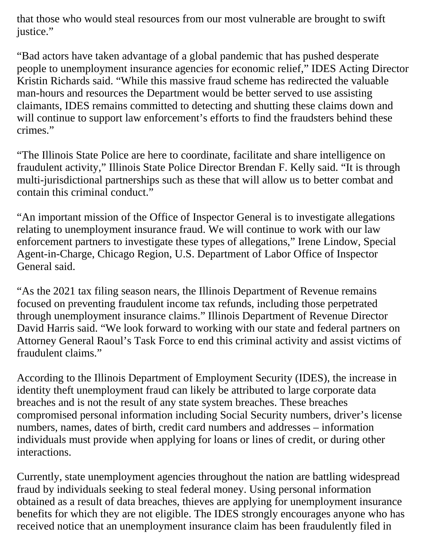that those who would steal resources from our most vulnerable are brought to swift justice."

"Bad actors have taken advantage of a global pandemic that has pushed desperate people to unemployment insurance agencies for economic relief," IDES Acting Director Kristin Richards said. "While this massive fraud scheme has redirected the valuable man-hours and resources the Department would be better served to use assisting claimants, IDES remains committed to detecting and shutting these claims down and will continue to support law enforcement's efforts to find the fraudsters behind these crimes."

"The Illinois State Police are here to coordinate, facilitate and share intelligence on fraudulent activity," Illinois State Police Director Brendan F. Kelly said. "It is through multi-jurisdictional partnerships such as these that will allow us to better combat and contain this criminal conduct."

"An important mission of the Office of Inspector General is to investigate allegations relating to unemployment insurance fraud. We will continue to work with our law enforcement partners to investigate these types of allegations," Irene Lindow, Special Agent-in-Charge, Chicago Region, U.S. Department of Labor Office of Inspector General said.

"As the 2021 tax filing season nears, the Illinois Department of Revenue remains focused on preventing fraudulent income tax refunds, including those perpetrated through unemployment insurance claims." Illinois Department of Revenue Director David Harris said. "We look forward to working with our state and federal partners on Attorney General Raoul's Task Force to end this criminal activity and assist victims of fraudulent claims."

According to the Illinois Department of Employment Security (IDES), the increase in identity theft unemployment fraud can likely be attributed to large corporate data breaches and is not the result of any state system breaches. These breaches compromised personal information including Social Security numbers, driver's license numbers, names, dates of birth, credit card numbers and addresses – information individuals must provide when applying for loans or lines of credit, or during other interactions.

Currently, state unemployment agencies throughout the nation are battling widespread fraud by individuals seeking to steal federal money. Using personal information obtained as a result of data breaches, thieves are applying for unemployment insurance benefits for which they are not eligible. The IDES strongly encourages anyone who has received notice that an unemployment insurance claim has been fraudulently filed in